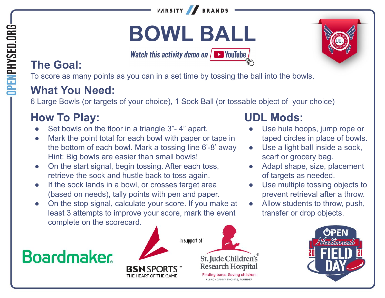

# **BOWL BALL**

Watch this activity demo on  $\sqrt{ }$  VouTube

### **The Goal:**

To score as many points as you can in a set time by tossing the ball into the bowls.

#### **What You Need:**

6 Large Bowls (or targets of your choice), 1 Sock Ball (or tossable object of your choice)

### **How To Play:**

- Set bowls on the floor in a triangle 3"-4" apart.
- Mark the point total for each bowl with paper or tape in the bottom of each bowl. Mark a tossing line 6'-8' away Hint: Big bowls are easier than small bowls!
- On the start signal, begin tossing. After each toss, retrieve the sock and hustle back to toss again.
- If the sock lands in a bowl, or crosses target area (based on needs), tally points with pen and paper.
- On the stop signal, calculate your score. If you make at least 3 attempts to improve your score, mark the event complete on the scorecard.

## **Boardmaker**







- Use hula hoops, jump rope or taped circles in place of bowls.
- Use a light ball inside a sock, scarf or grocery bag.
- Adapt shape, size, placement of targets as needed.
- Use multiple tossing objects to prevent retrieval after a throw.
- Allow students to throw, push, transfer or drop objects.